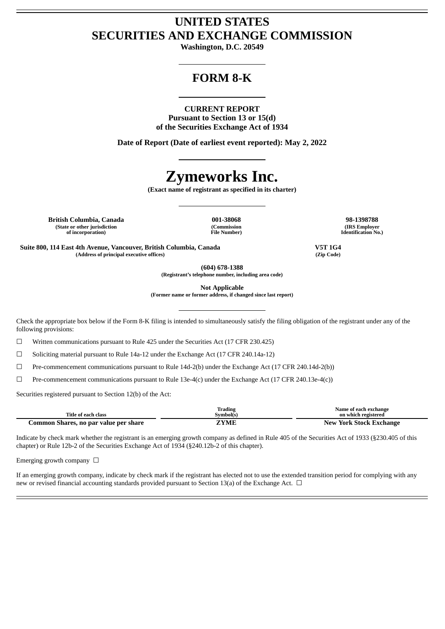# **UNITED STATES SECURITIES AND EXCHANGE COMMISSION**

**Washington, D.C. 20549**

# **FORM 8-K**

#### **CURRENT REPORT**

**Pursuant to Section 13 or 15(d) of the Securities Exchange Act of 1934**

**Date of Report (Date of earliest event reported): May 2, 2022**

# **Zymeworks Inc.**

**(Exact name of registrant as specified in its charter)**

**British Columbia, Canada 001-38068 98-1398788 (State or other jurisdiction of incorporation)**

**(Commission File Number)**

**(IRS Employer Identification No.)**

**Suite 800, 114 East 4th Avenue, Vancouver, British Columbia, Canada V5T 1G4 (Address of principal executive offices) (Zip Code)**

**(604) 678-1388**

**(Registrant's telephone number, including area code)**

**Not Applicable**

**(Former name or former address, if changed since last report)**

Check the appropriate box below if the Form 8-K filing is intended to simultaneously satisfy the filing obligation of the registrant under any of the following provisions:

 $\Box$  Written communications pursuant to Rule 425 under the Securities Act (17 CFR 230.425)

☐ Soliciting material pursuant to Rule 14a-12 under the Exchange Act (17 CFR 240.14a-12)

☐ Pre-commencement communications pursuant to Rule 14d-2(b) under the Exchange Act (17 CFR 240.14d-2(b))

☐ Pre-commencement communications pursuant to Rule 13e-4(c) under the Exchange Act (17 CFR 240.13e-4(c))

Securities registered pursuant to Section 12(b) of the Act:

|                                       | Trading   | Name of each exchange          |
|---------------------------------------|-----------|--------------------------------|
| Title of each class                   | Symbol(s) | on which registered            |
| Common Shares, no par value per share | ZYME      | <b>New York Stock Exchange</b> |

Indicate by check mark whether the registrant is an emerging growth company as defined in Rule 405 of the Securities Act of 1933 (§230.405 of this chapter) or Rule 12b-2 of the Securities Exchange Act of 1934 (§240.12b-2 of this chapter).

Emerging growth company  $\Box$ 

If an emerging growth company, indicate by check mark if the registrant has elected not to use the extended transition period for complying with any new or revised financial accounting standards provided pursuant to Section 13(a) of the Exchange Act.  $\Box$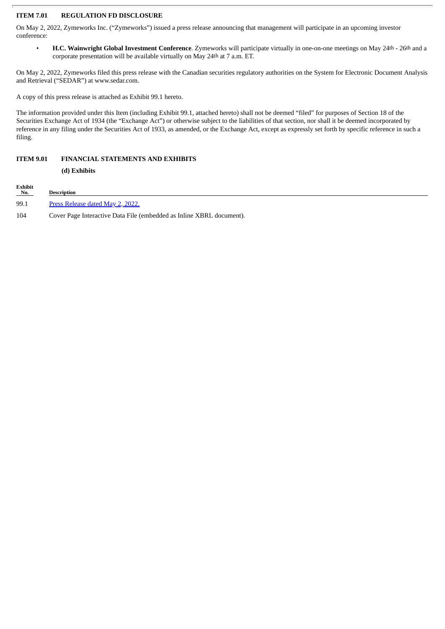### **ITEM 7.01 REGULATION FD DISCLOSURE**

On May 2, 2022, Zymeworks Inc. ("Zymeworks") issued a press release announcing that management will participate in an upcoming investor conference:

• **H.C. Wainwright Global Investment Conference**. Zymeworks will participate virtually in one-on-one meetings on May 24th - 26th and a corporate presentation will be available virtually on May 24th at 7 a.m. ET.

On May 2, 2022, Zymeworks filed this press release with the Canadian securities regulatory authorities on the System for Electronic Document Analysis and Retrieval ("SEDAR") at www.sedar.com.

A copy of this press release is attached as Exhibit 99.1 hereto.

The information provided under this Item (including Exhibit 99.1, attached hereto) shall not be deemed "filed" for purposes of Section 18 of the Securities Exchange Act of 1934 (the "Exchange Act") or otherwise subject to the liabilities of that section, nor shall it be deemed incorporated by reference in any filing under the Securities Act of 1933, as amended, or the Exchange Act, except as expressly set forth by specific reference in such a filing.

## **ITEM 9.01 FINANCIAL STATEMENTS AND EXHIBITS**

**(d) Exhibits**

Exhibit<br>No. **Description** 99.1 Press [Release](#page-3-0) dated May 2, 2022. 104 Cover Page Interactive Data File (embedded as Inline XBRL document).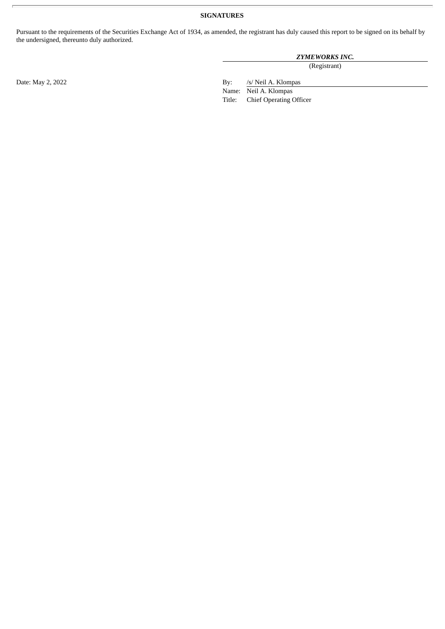# **SIGNATURES**

Pursuant to the requirements of the Securities Exchange Act of 1934, as amended, the registrant has duly caused this report to be signed on its behalf by the undersigned, thereunto duly authorized.

## *ZYMEWORKS INC.*

(Registrant)

Date: May 2, 2022 By: /s/ Neil A. Klompas

Name: Neil A. Klompas<br>Title: Chief Operating (

Chief Operating Officer